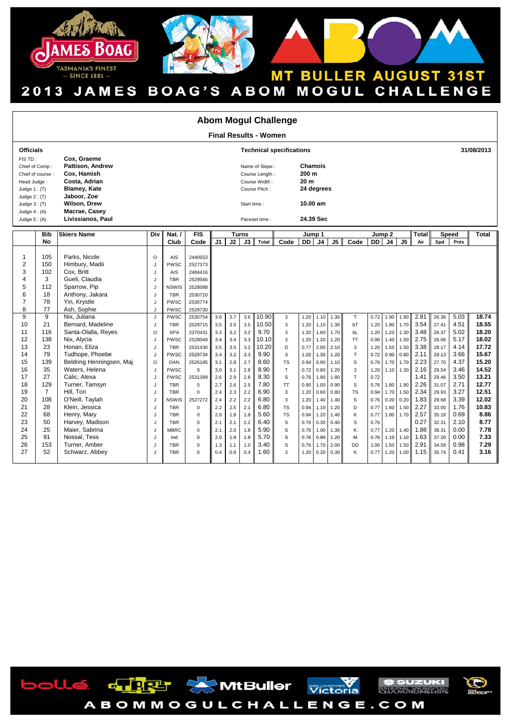





| <b>Abom Mogul Challenge</b>                                                                                                                            |                                                                                                                           |                                                                                                                                                                                                                                                                                                                                    |                                                                                                    |                                                                                                                                                                                                                                      |                                                                                                                                                                                                                                     |                                                                                                                            |                                                                                                                            |                                                                                                                            |                                                                                                                                                  |                                                                                                                                                                             |                                                                                                                                              |                                                                                                                                              |                                                                                                                                              |                                                                                                             |                                                                                                                                              |                                                                                                                              |                                                                                                                              |                                                                                                                                              |                                                                                                                                                                |                                                                                                                                              |                                                                                                                                                           |
|--------------------------------------------------------------------------------------------------------------------------------------------------------|---------------------------------------------------------------------------------------------------------------------------|------------------------------------------------------------------------------------------------------------------------------------------------------------------------------------------------------------------------------------------------------------------------------------------------------------------------------------|----------------------------------------------------------------------------------------------------|--------------------------------------------------------------------------------------------------------------------------------------------------------------------------------------------------------------------------------------|-------------------------------------------------------------------------------------------------------------------------------------------------------------------------------------------------------------------------------------|----------------------------------------------------------------------------------------------------------------------------|----------------------------------------------------------------------------------------------------------------------------|----------------------------------------------------------------------------------------------------------------------------|--------------------------------------------------------------------------------------------------------------------------------------------------|-----------------------------------------------------------------------------------------------------------------------------------------------------------------------------|----------------------------------------------------------------------------------------------------------------------------------------------|----------------------------------------------------------------------------------------------------------------------------------------------|----------------------------------------------------------------------------------------------------------------------------------------------|-------------------------------------------------------------------------------------------------------------|----------------------------------------------------------------------------------------------------------------------------------------------|------------------------------------------------------------------------------------------------------------------------------|------------------------------------------------------------------------------------------------------------------------------|----------------------------------------------------------------------------------------------------------------------------------------------|----------------------------------------------------------------------------------------------------------------------------------------------------------------|----------------------------------------------------------------------------------------------------------------------------------------------|-----------------------------------------------------------------------------------------------------------------------------------------------------------|
| <b>Final Results - Women</b>                                                                                                                           |                                                                                                                           |                                                                                                                                                                                                                                                                                                                                    |                                                                                                    |                                                                                                                                                                                                                                      |                                                                                                                                                                                                                                     |                                                                                                                            |                                                                                                                            |                                                                                                                            |                                                                                                                                                  |                                                                                                                                                                             |                                                                                                                                              |                                                                                                                                              |                                                                                                                                              |                                                                                                             |                                                                                                                                              |                                                                                                                              |                                                                                                                              |                                                                                                                                              |                                                                                                                                                                |                                                                                                                                              |                                                                                                                                                           |
| <b>Officials</b>                                                                                                                                       |                                                                                                                           |                                                                                                                                                                                                                                                                                                                                    |                                                                                                    |                                                                                                                                                                                                                                      |                                                                                                                                                                                                                                     |                                                                                                                            |                                                                                                                            |                                                                                                                            | <b>Technical specifications</b>                                                                                                                  | 31/08/2013                                                                                                                                                                  |                                                                                                                                              |                                                                                                                                              |                                                                                                                                              |                                                                                                             |                                                                                                                                              |                                                                                                                              |                                                                                                                              |                                                                                                                                              |                                                                                                                                                                |                                                                                                                                              |                                                                                                                                                           |
| FIS TD:<br>Chief of Comp:<br>Chief of course:<br>Head Judge:<br>Judge $1:$ (T)<br>Judge $2:$ (T)<br>Judge $3:$ (T)<br>Judge $4: (A)$<br>Judge $5: (A)$ |                                                                                                                           | Cox, Graeme<br>Pattison, Andrew<br>Cox. Hamish<br>Costa, Adrian<br><b>Blamey, Kate</b><br>Jaboor, Zoe<br>Wilson, Drew<br>Macrae, Casey<br>Livissianos, Paul                                                                                                                                                                        |                                                                                                    |                                                                                                                                                                                                                                      |                                                                                                                                                                                                                                     |                                                                                                                            |                                                                                                                            | Name of Slope :<br>Course Length:<br>Course Width:<br>Course Pitch:<br>Start time:<br>Paceset time:                        |                                                                                                                                                  |                                                                                                                                                                             |                                                                                                                                              | Chamois<br>200 <sub>m</sub><br>20 <sub>m</sub><br>24 degrees<br>10.00 am<br>24.39 Sec                                                        |                                                                                                                                              |                                                                                                             |                                                                                                                                              |                                                                                                                              |                                                                                                                              |                                                                                                                                              |                                                                                                                                                                |                                                                                                                                              |                                                                                                                                                           |
|                                                                                                                                                        | <b>Bib</b><br>No                                                                                                          | <b>Skiers Name</b>                                                                                                                                                                                                                                                                                                                 | Div                                                                                                | Nat./<br>Club                                                                                                                                                                                                                        | <b>FIS</b><br>Code                                                                                                                                                                                                                  | <b>Turns</b><br>J2<br>$\overline{J3}$<br>J1<br>Total                                                                       |                                                                                                                            |                                                                                                                            | Code                                                                                                                                             | Jump 1<br>DD I<br>J <sub>4</sub><br>J5 I                                                                                                                                    |                                                                                                                                              |                                                                                                                                              | Code                                                                                                                                         | Jump <sub>2</sub><br>DD<br>J <sub>4</sub><br>J5                                                             |                                                                                                                                              |                                                                                                                              | Total<br>Air                                                                                                                 | Spd                                                                                                                                          | Speed<br>Pnts                                                                                                                                                  | <b>Total</b>                                                                                                                                 |                                                                                                                                                           |
| $\mathbf{1}$<br>$\overline{2}$<br>3<br>$\overline{4}$<br>5<br>6<br>$\overline{7}$<br>8                                                                 | 105<br>150<br>102<br>3<br>112<br>18<br>78<br>77                                                                           | Parks. Nicole<br>Himbury, Madii<br>Cox, Britt<br>Gueli, Claudia<br>Sparrow, Pip<br>Anthony, Jakara<br>Yin, Krystle<br>Ash, Sophie                                                                                                                                                                                                  | $\circ$<br>J<br>J<br>J<br>J<br>J<br>J<br>J                                                         | <b>AIS</b><br>PWSC<br><b>AIS</b><br><b>TBR</b><br><b>NSWIS</b><br><b>TBR</b><br>PWSC<br><b>PWSC</b>                                                                                                                                  | 2440553<br>2527373<br>2484416<br>2529566<br>2528088<br>2530720<br>2530774<br>2529730                                                                                                                                                |                                                                                                                            |                                                                                                                            |                                                                                                                            |                                                                                                                                                  |                                                                                                                                                                             |                                                                                                                                              |                                                                                                                                              |                                                                                                                                              |                                                                                                             |                                                                                                                                              |                                                                                                                              |                                                                                                                              |                                                                                                                                              |                                                                                                                                                                |                                                                                                                                              |                                                                                                                                                           |
| 9<br>10<br>11<br>12<br>13<br>14<br>15<br>16<br>17<br>18<br>19<br>20<br>21<br>22<br>23<br>24<br>25<br>26                                                | 9<br>21<br>116<br>138<br>23<br>79<br>139<br>35<br>27<br>129<br>$\overline{7}$<br>108<br>28<br>68<br>50<br>25<br>91<br>153 | Nix, Juliana<br>Bernard, Madeline<br>Santa-Olalla, Reyes<br>Nix, Alycia<br>Honan, Eliza<br>Tudhope, Phoebe<br>Beldring Henningsen, Maj<br>Waters, Helena<br>Calic, Alexa<br>Turner, Tamsyn<br>Hill. Tori<br>O'Neill, Taylah<br>Klein, Jessica<br>Henry, Mary<br>Harvey, Madison<br>Maier, Sabrina<br>Nossal, Tess<br>Turner, Amber | J<br>J<br>$\circ$<br>J<br>J<br>J<br>$\circ$<br>J<br>J<br>J<br>J<br>J<br>J<br>J<br>J<br>J<br>J<br>J | <b>PWSC</b><br><b>TBR</b><br><b>SPA</b><br><b>PWSC</b><br><b>TBR</b><br>PWSC<br>DAN<br><b>PWSC</b><br>PWSC<br><b>TBR</b><br><b>TBR</b><br><b>NSWIS</b><br><b>TBR</b><br><b>TBR</b><br><b>TBR</b><br><b>MBRC</b><br>Ind<br><b>TBR</b> | 2530754<br>2529715<br>2370431<br>2528049<br>2531430<br>2529734<br>2526185<br>$\Omega$<br>2531399<br>$\mathbf 0$<br>$\mathbf 0$<br>2527272<br>$\mathbf 0$<br>$\mathbf 0$<br>$\mathbf 0$<br>$\mathbf 0$<br>$\mathbf 0$<br>$\mathbf 0$ | 3.6<br>3.5<br>3.3<br>3.4<br>3.5<br>3.4<br>3.1<br>3.0<br>2.6<br>2.7<br>2.4<br>2.4<br>2.2<br>2.0<br>2.1<br>2.1<br>2.0<br>1.3 | 3.7<br>3.5<br>3.2<br>3.4<br>3.5<br>3.2<br>2.8<br>3.1<br>2.9<br>2.6<br>2.3<br>2.2<br>2.5<br>1.8<br>2.1<br>2.0<br>1.9<br>1.1 | 3.6<br>3.5<br>3.2<br>3.3<br>3.2<br>3.3<br>2.7<br>2.8<br>2.8<br>2.5<br>2.2<br>2.2<br>2.1<br>1.8<br>2.2<br>1.8<br>1.8<br>1.0 | 10.90<br>10.50<br>9.70<br>10.10<br>10.20<br>9.90<br>8.60<br>8.90<br>8.30<br>7.80<br>6.90<br>6.80<br>6.80<br>5.60<br>6.40<br>5.90<br>5.70<br>3.40 | $\mathsf 3$<br>3<br>3<br>3<br>D<br>$\overline{3}$<br><b>TS</b><br>T<br>S<br><b>TT</b><br>3<br>3<br><b>TS</b><br><b>TS</b><br>S<br>$\mathbb S$<br>$\mathbf S$<br>$\mathbb S$ | 1.20<br>1.20<br>1.20<br>1.20<br>0.77<br>1.20<br>0.94<br>0.72<br>0.76<br>0.90<br>1.20<br>1.20<br>0.94<br>0.94<br>0.76<br>0.76<br>0.76<br>0.76 | 1.10<br>1.10<br>1.60<br>1.20<br>2.00<br>1.30<br>0.90<br>0.80<br>1.90<br>1.00<br>0.60<br>1.40<br>1.10<br>1.20<br>0.30<br>1.00<br>0.90<br>1.70 | 1.30<br>1.30<br>1.70<br>1.20<br>2.10<br>1.20<br>1.10<br>1.20<br>1.80<br>0.90<br>0.80<br>1.40<br>1.20<br>1.40<br>0.40<br>1.30<br>1.20<br>2.00 | T<br>bT<br>bL<br><b>TT</b><br>3<br>T.<br>S<br>3<br>T.<br>S<br><b>TS</b><br>S<br>D<br>K<br>S<br>Κ<br>M<br>DD | 0.72<br>1.20<br>1.20<br>0.90<br>1.20<br>0.72<br>0.76<br>1.20<br>0.72<br>0.76<br>0.94<br>0.76<br>0.77<br>0.77<br>0.76<br>0.77<br>0.76<br>1.00 | 1.90<br>1.80<br>1.20<br>1.40<br>1.50<br>0.90<br>1.70<br>1.10<br>1.80<br>1.70<br>0.20<br>1.60<br>1.80<br>1.20<br>1.10<br>1.50 | 1.90<br>1.70<br>1.30<br>1.50<br>1.50<br>0.80<br>1.70<br>1.30<br>1.90<br>1.50<br>0.20<br>1.50<br>1.70<br>1.40<br>1.10<br>1.50 | 2.81<br>3.54<br>3.48<br>2.75<br>3.38<br>2.11<br>2.23<br>2.16<br>1.41<br>2.26<br>2.34<br>1.83<br>2.27<br>2.57<br>0.27<br>1.88<br>1.63<br>2.91 | 26.36<br>27.41<br>26.37<br>26.06<br>28.17<br>29.13<br>27.70<br>29.54<br>29.46<br>31.07<br>29.93<br>29.68<br>33.00<br>35.18<br>32.31<br>38.31<br>37.20<br>34.59 | 5.03<br>4.51<br>5.02<br>5.17<br>4.14<br>3.66<br>4.37<br>3.46<br>3.50<br>2.71<br>3.27<br>3.39<br>1.76<br>0.69<br>2.10<br>0.00<br>0.00<br>0.98 | 18.74<br>18.55<br>18.20<br>18.02<br>17.72<br>15.67<br>15.20<br>14.52<br>13.21<br>12.77<br>12.51<br>12.02<br>10.83<br>8.86<br>8.77<br>7.78<br>7.33<br>7.29 |
| 27                                                                                                                                                     | 52                                                                                                                        | Schwarz, Abbey                                                                                                                                                                                                                                                                                                                     | J                                                                                                  | <b>TBR</b>                                                                                                                                                                                                                           | $\Omega$                                                                                                                                                                                                                            | 0.4                                                                                                                        | 0.8                                                                                                                        | 0.4                                                                                                                        | 1.60                                                                                                                                             | 3                                                                                                                                                                           | 1.20                                                                                                                                         | 0.20                                                                                                                                         | 0.30                                                                                                                                         | K                                                                                                           | 0.77                                                                                                                                         | 1.20                                                                                                                         | 1.00                                                                                                                         | 1.15                                                                                                                                         | 35.74                                                                                                                                                          | 0.41                                                                                                                                         | 3.16                                                                                                                                                      |





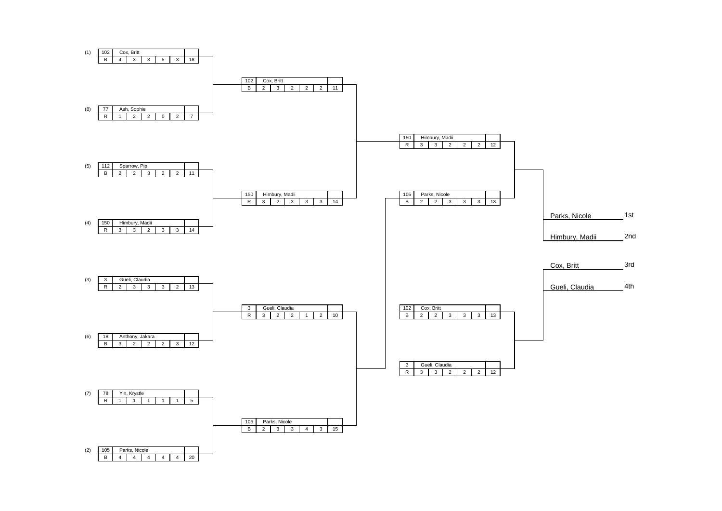